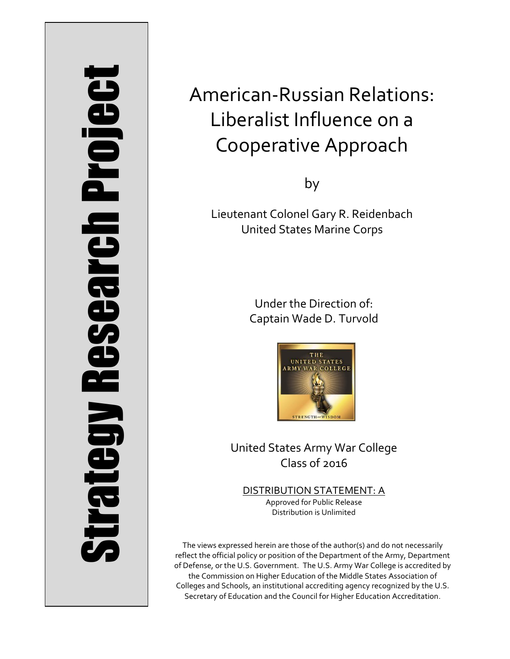# Strategy Research Project **Strategy Research Project**

# American-Russian Relations: Liberalist Influence on a Cooperative Approach

by

Lieutenant Colonel Gary R. Reidenbach United States Marine Corps

> Under the Direction of: Captain Wade D. Turvold



United States Army War College Class of 2016

DISTRIBUTION STATEMENT: A Approved for Public Release Distribution is Unlimited

The views expressed herein are those of the author(s) and do not necessarily reflect the official policy or position of the Department of the Army, Department of Defense, or the U.S. Government. The U.S. Army War College is accredited by the Commission on Higher Education of the Middle States Association of Colleges and Schools, an institutional accrediting agency recognized by the U.S. Secretary of Education and the Council for Higher Education Accreditation.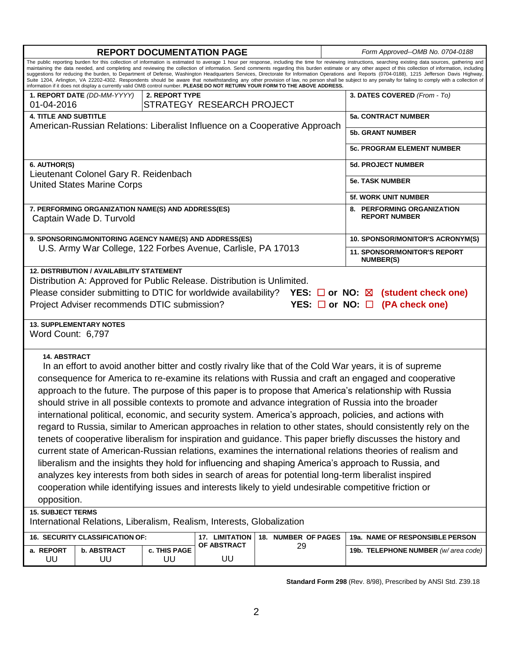| <b>REPORT DOCUMENTATION PAGE</b>                                                                                                                                                                                                                                                                                                                                                                                                                                                                                                                                                                                                                                                                                                                                                                                                                                                                                                                                                                                                                                                                                                                                                                                                                                                        |                    |                     |    | Form Approved--OMB No. 0704-0188                        |                                     |
|-----------------------------------------------------------------------------------------------------------------------------------------------------------------------------------------------------------------------------------------------------------------------------------------------------------------------------------------------------------------------------------------------------------------------------------------------------------------------------------------------------------------------------------------------------------------------------------------------------------------------------------------------------------------------------------------------------------------------------------------------------------------------------------------------------------------------------------------------------------------------------------------------------------------------------------------------------------------------------------------------------------------------------------------------------------------------------------------------------------------------------------------------------------------------------------------------------------------------------------------------------------------------------------------|--------------------|---------------------|----|---------------------------------------------------------|-------------------------------------|
| The public reporting burden for this collection of information is estimated to average 1 hour per response, including the time for reviewing instructions, searching existing data sources, gathering and<br>maintaining the data needed, and completing and reviewing the collection of information. Send comments regarding this burden estimate or any other aspect of this collection of information, including<br>suggestions for reducing the burden, to Department of Defense, Washington Headquarters Services, Directorate for Information Operations and Reports (0704-0188), 1215 Jefferson Davis Highway,<br>Suite 1204, Arlington, VA 22202-4302. Respondents should be aware that notwithstanding any other provision of law, no person shall be subject to any penalty for failing to comply with a collection of<br>information if it does not display a currently valid OMB control number. PLEASE DO NOT RETURN YOUR FORM TO THE ABOVE ADDRESS.                                                                                                                                                                                                                                                                                                                       |                    |                     |    |                                                         |                                     |
| 1. REPORT DATE (DD-MM-YYYY)                                                                                                                                                                                                                                                                                                                                                                                                                                                                                                                                                                                                                                                                                                                                                                                                                                                                                                                                                                                                                                                                                                                                                                                                                                                             | 2. REPORT TYPE     |                     |    |                                                         | 3. DATES COVERED (From - To)        |
| STRATEGY RESEARCH PROJECT<br>01-04-2016                                                                                                                                                                                                                                                                                                                                                                                                                                                                                                                                                                                                                                                                                                                                                                                                                                                                                                                                                                                                                                                                                                                                                                                                                                                 |                    |                     |    |                                                         |                                     |
| <b>4. TITLE AND SUBTITLE</b><br>American-Russian Relations: Liberalist Influence on a Cooperative Approach                                                                                                                                                                                                                                                                                                                                                                                                                                                                                                                                                                                                                                                                                                                                                                                                                                                                                                                                                                                                                                                                                                                                                                              |                    |                     |    | <b>5a. CONTRACT NUMBER</b>                              |                                     |
|                                                                                                                                                                                                                                                                                                                                                                                                                                                                                                                                                                                                                                                                                                                                                                                                                                                                                                                                                                                                                                                                                                                                                                                                                                                                                         |                    |                     |    | <b>5b. GRANT NUMBER</b>                                 |                                     |
|                                                                                                                                                                                                                                                                                                                                                                                                                                                                                                                                                                                                                                                                                                                                                                                                                                                                                                                                                                                                                                                                                                                                                                                                                                                                                         |                    |                     |    | <b>5c. PROGRAM ELEMENT NUMBER</b>                       |                                     |
| 6. AUTHOR(S)                                                                                                                                                                                                                                                                                                                                                                                                                                                                                                                                                                                                                                                                                                                                                                                                                                                                                                                                                                                                                                                                                                                                                                                                                                                                            |                    |                     |    | <b>5d. PROJECT NUMBER</b>                               |                                     |
| Lieutenant Colonel Gary R. Reidenbach<br><b>United States Marine Corps</b>                                                                                                                                                                                                                                                                                                                                                                                                                                                                                                                                                                                                                                                                                                                                                                                                                                                                                                                                                                                                                                                                                                                                                                                                              |                    |                     |    | <b>5e. TASK NUMBER</b>                                  |                                     |
|                                                                                                                                                                                                                                                                                                                                                                                                                                                                                                                                                                                                                                                                                                                                                                                                                                                                                                                                                                                                                                                                                                                                                                                                                                                                                         |                    |                     |    | <b>5f. WORK UNIT NUMBER</b>                             |                                     |
| 7. PERFORMING ORGANIZATION NAME(S) AND ADDRESS(ES)<br>Captain Wade D. Turvold                                                                                                                                                                                                                                                                                                                                                                                                                                                                                                                                                                                                                                                                                                                                                                                                                                                                                                                                                                                                                                                                                                                                                                                                           |                    |                     |    | 8. PERFORMING ORGANIZATION<br><b>REPORT NUMBER</b>      |                                     |
| 9. SPONSORING/MONITORING AGENCY NAME(S) AND ADDRESS(ES)                                                                                                                                                                                                                                                                                                                                                                                                                                                                                                                                                                                                                                                                                                                                                                                                                                                                                                                                                                                                                                                                                                                                                                                                                                 |                    |                     |    | 10. SPONSOR/MONITOR'S ACRONYM(S)                        |                                     |
| U.S. Army War College, 122 Forbes Avenue, Carlisle, PA 17013                                                                                                                                                                                                                                                                                                                                                                                                                                                                                                                                                                                                                                                                                                                                                                                                                                                                                                                                                                                                                                                                                                                                                                                                                            |                    |                     |    | <b>11. SPONSOR/MONITOR'S REPORT</b><br><b>NUMBER(S)</b> |                                     |
| Distribution A: Approved for Public Release. Distribution is Unlimited.<br>Please consider submitting to DTIC for worldwide availability? YES: $\square$ or NO: $\boxtimes$<br>(student check one)<br>Project Adviser recommends DTIC submission?<br>YES: $\square$ or NO: $\square$<br>(PA check one)<br><b>13. SUPPLEMENTARY NOTES</b>                                                                                                                                                                                                                                                                                                                                                                                                                                                                                                                                                                                                                                                                                                                                                                                                                                                                                                                                                |                    |                     |    |                                                         |                                     |
| Word Count: 6,797                                                                                                                                                                                                                                                                                                                                                                                                                                                                                                                                                                                                                                                                                                                                                                                                                                                                                                                                                                                                                                                                                                                                                                                                                                                                       |                    |                     |    |                                                         |                                     |
| <b>14. ABSTRACT</b><br>In an effort to avoid another bitter and costly rivalry like that of the Cold War years, it is of supreme<br>consequence for America to re-examine its relations with Russia and craft an engaged and cooperative<br>approach to the future. The purpose of this paper is to propose that America's relationship with Russia<br>should strive in all possible contexts to promote and advance integration of Russia into the broader<br>international political, economic, and security system. America's approach, policies, and actions with<br>regard to Russia, similar to American approaches in relation to other states, should consistently rely on the<br>tenets of cooperative liberalism for inspiration and guidance. This paper briefly discusses the history and<br>current state of American-Russian relations, examines the international relations theories of realism and<br>liberalism and the insights they hold for influencing and shaping America's approach to Russia, and<br>analyzes key interests from both sides in search of areas for potential long-term liberalist inspired<br>cooperation while identifying issues and interests likely to yield undesirable competitive friction or<br>opposition.<br><b>15. SUBJECT TERMS</b> |                    |                     |    |                                                         |                                     |
| International Relations, Liberalism, Realism, Interests, Globalization                                                                                                                                                                                                                                                                                                                                                                                                                                                                                                                                                                                                                                                                                                                                                                                                                                                                                                                                                                                                                                                                                                                                                                                                                  |                    |                     |    |                                                         |                                     |
| 16. SECURITY CLASSIFICATION OF:                                                                                                                                                                                                                                                                                                                                                                                                                                                                                                                                                                                                                                                                                                                                                                                                                                                                                                                                                                                                                                                                                                                                                                                                                                                         | 17. LIMITATION     | 18. NUMBER OF PAGES |    | 19a. NAME OF RESPONSIBLE PERSON                         |                                     |
| a. REPORT<br>b. ABSTRACT<br>UU<br>UU                                                                                                                                                                                                                                                                                                                                                                                                                                                                                                                                                                                                                                                                                                                                                                                                                                                                                                                                                                                                                                                                                                                                                                                                                                                    | c. THIS PAGE<br>UU | OF ABSTRACT<br>UU   | 29 |                                                         | 19b. TELEPHONE NUMBER (w/area code) |
|                                                                                                                                                                                                                                                                                                                                                                                                                                                                                                                                                                                                                                                                                                                                                                                                                                                                                                                                                                                                                                                                                                                                                                                                                                                                                         |                    |                     |    |                                                         |                                     |

**Standard Form 298** (Rev. 8/98), Prescribed by ANSI Std. Z39.18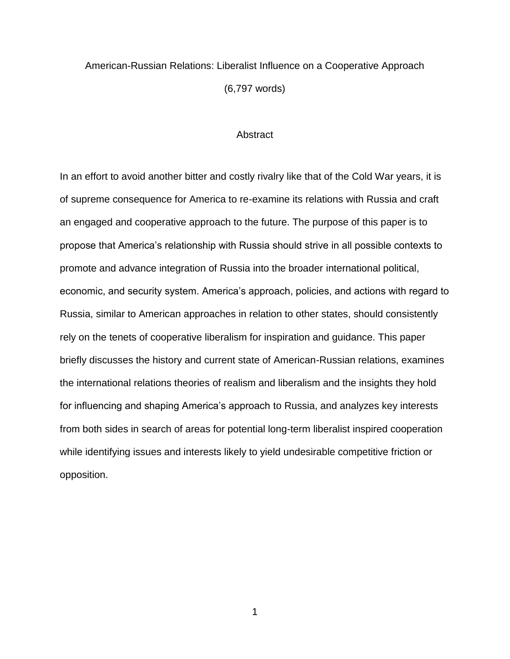## American-Russian Relations: Liberalist Influence on a Cooperative Approach (6,797 words)

### **Abstract**

In an effort to avoid another bitter and costly rivalry like that of the Cold War years, it is of supreme consequence for America to re-examine its relations with Russia and craft an engaged and cooperative approach to the future. The purpose of this paper is to propose that America's relationship with Russia should strive in all possible contexts to promote and advance integration of Russia into the broader international political, economic, and security system. America's approach, policies, and actions with regard to Russia, similar to American approaches in relation to other states, should consistently rely on the tenets of cooperative liberalism for inspiration and guidance. This paper briefly discusses the history and current state of American-Russian relations, examines the international relations theories of realism and liberalism and the insights they hold for influencing and shaping America's approach to Russia, and analyzes key interests from both sides in search of areas for potential long-term liberalist inspired cooperation while identifying issues and interests likely to yield undesirable competitive friction or opposition.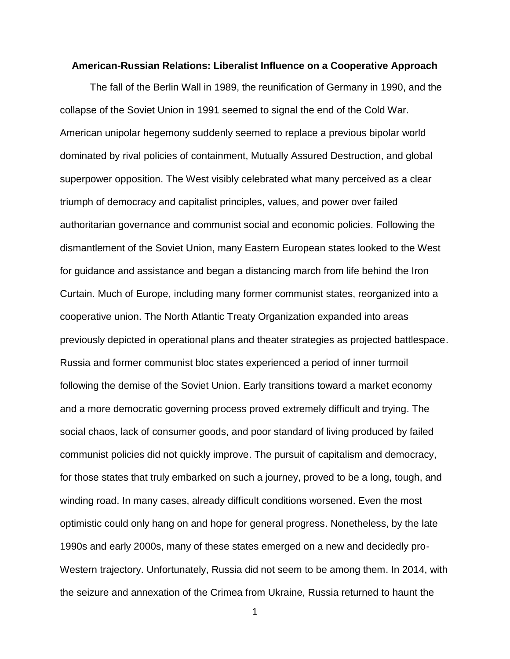### **American-Russian Relations: Liberalist Influence on a Cooperative Approach**

The fall of the Berlin Wall in 1989, the reunification of Germany in 1990, and the collapse of the Soviet Union in 1991 seemed to signal the end of the Cold War. American unipolar hegemony suddenly seemed to replace a previous bipolar world dominated by rival policies of containment, Mutually Assured Destruction, and global superpower opposition. The West visibly celebrated what many perceived as a clear triumph of democracy and capitalist principles, values, and power over failed authoritarian governance and communist social and economic policies. Following the dismantlement of the Soviet Union, many Eastern European states looked to the West for guidance and assistance and began a distancing march from life behind the Iron Curtain. Much of Europe, including many former communist states, reorganized into a cooperative union. The North Atlantic Treaty Organization expanded into areas previously depicted in operational plans and theater strategies as projected battlespace. Russia and former communist bloc states experienced a period of inner turmoil following the demise of the Soviet Union. Early transitions toward a market economy and a more democratic governing process proved extremely difficult and trying. The social chaos, lack of consumer goods, and poor standard of living produced by failed communist policies did not quickly improve. The pursuit of capitalism and democracy, for those states that truly embarked on such a journey, proved to be a long, tough, and winding road. In many cases, already difficult conditions worsened. Even the most optimistic could only hang on and hope for general progress. Nonetheless, by the late 1990s and early 2000s, many of these states emerged on a new and decidedly pro-Western trajectory. Unfortunately, Russia did not seem to be among them. In 2014, with the seizure and annexation of the Crimea from Ukraine, Russia returned to haunt the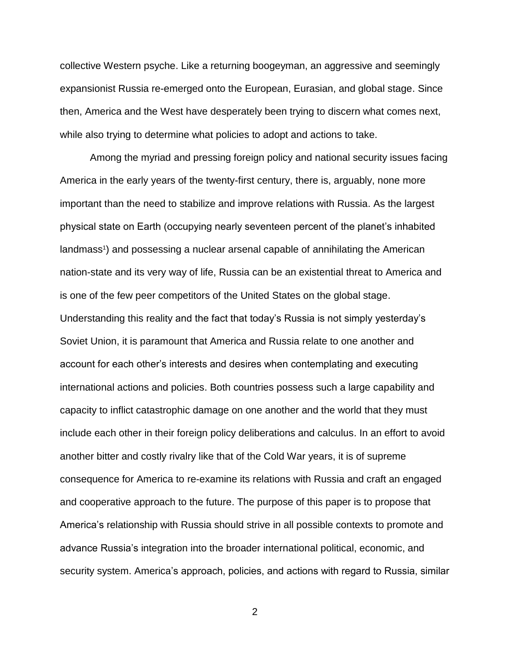collective Western psyche. Like a returning boogeyman, an aggressive and seemingly expansionist Russia re-emerged onto the European, Eurasian, and global stage. Since then, America and the West have desperately been trying to discern what comes next, while also trying to determine what policies to adopt and actions to take.

Among the myriad and pressing foreign policy and national security issues facing America in the early years of the twenty-first century, there is, arguably, none more important than the need to stabilize and improve relations with Russia. As the largest physical state on Earth (occupying nearly seventeen percent of the planet's inhabited landmass<sup>1</sup>) and possessing a nuclear arsenal capable of annihilating the American nation-state and its very way of life, Russia can be an existential threat to America and is one of the few peer competitors of the United States on the global stage. Understanding this reality and the fact that today's Russia is not simply yesterday's Soviet Union, it is paramount that America and Russia relate to one another and account for each other's interests and desires when contemplating and executing international actions and policies. Both countries possess such a large capability and capacity to inflict catastrophic damage on one another and the world that they must include each other in their foreign policy deliberations and calculus. In an effort to avoid another bitter and costly rivalry like that of the Cold War years, it is of supreme consequence for America to re-examine its relations with Russia and craft an engaged and cooperative approach to the future. The purpose of this paper is to propose that America's relationship with Russia should strive in all possible contexts to promote and advance Russia's integration into the broader international political, economic, and security system. America's approach, policies, and actions with regard to Russia, similar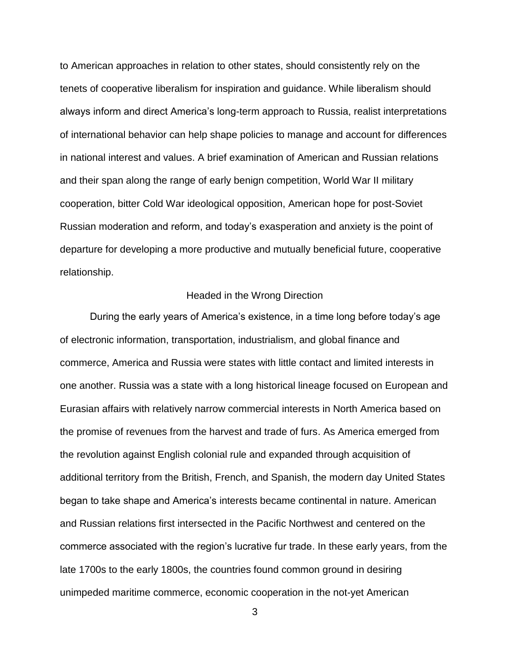to American approaches in relation to other states, should consistently rely on the tenets of cooperative liberalism for inspiration and guidance. While liberalism should always inform and direct America's long-term approach to Russia, realist interpretations of international behavior can help shape policies to manage and account for differences in national interest and values. A brief examination of American and Russian relations and their span along the range of early benign competition, World War II military cooperation, bitter Cold War ideological opposition, American hope for post-Soviet Russian moderation and reform, and today's exasperation and anxiety is the point of departure for developing a more productive and mutually beneficial future, cooperative relationship.

### Headed in the Wrong Direction

During the early years of America's existence, in a time long before today's age of electronic information, transportation, industrialism, and global finance and commerce, America and Russia were states with little contact and limited interests in one another. Russia was a state with a long historical lineage focused on European and Eurasian affairs with relatively narrow commercial interests in North America based on the promise of revenues from the harvest and trade of furs. As America emerged from the revolution against English colonial rule and expanded through acquisition of additional territory from the British, French, and Spanish, the modern day United States began to take shape and America's interests became continental in nature. American and Russian relations first intersected in the Pacific Northwest and centered on the commerce associated with the region's lucrative fur trade. In these early years, from the late 1700s to the early 1800s, the countries found common ground in desiring unimpeded maritime commerce, economic cooperation in the not-yet American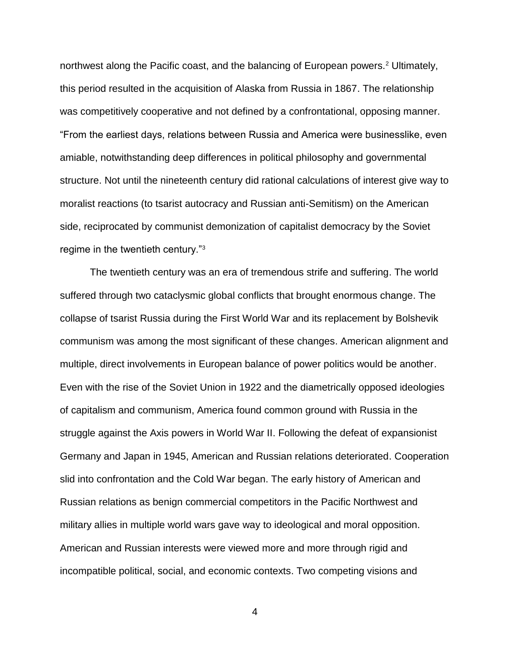northwest along the Pacific coast, and the balancing of European powers.<sup>2</sup> Ultimately, this period resulted in the acquisition of Alaska from Russia in 1867. The relationship was competitively cooperative and not defined by a confrontational, opposing manner. "From the earliest days, relations between Russia and America were businesslike, even amiable, notwithstanding deep differences in political philosophy and governmental structure. Not until the nineteenth century did rational calculations of interest give way to moralist reactions (to tsarist autocracy and Russian anti-Semitism) on the American side, reciprocated by communist demonization of capitalist democracy by the Soviet regime in the twentieth century."<sup>3</sup>

The twentieth century was an era of tremendous strife and suffering. The world suffered through two cataclysmic global conflicts that brought enormous change. The collapse of tsarist Russia during the First World War and its replacement by Bolshevik communism was among the most significant of these changes. American alignment and multiple, direct involvements in European balance of power politics would be another. Even with the rise of the Soviet Union in 1922 and the diametrically opposed ideologies of capitalism and communism, America found common ground with Russia in the struggle against the Axis powers in World War II. Following the defeat of expansionist Germany and Japan in 1945, American and Russian relations deteriorated. Cooperation slid into confrontation and the Cold War began. The early history of American and Russian relations as benign commercial competitors in the Pacific Northwest and military allies in multiple world wars gave way to ideological and moral opposition. American and Russian interests were viewed more and more through rigid and incompatible political, social, and economic contexts. Two competing visions and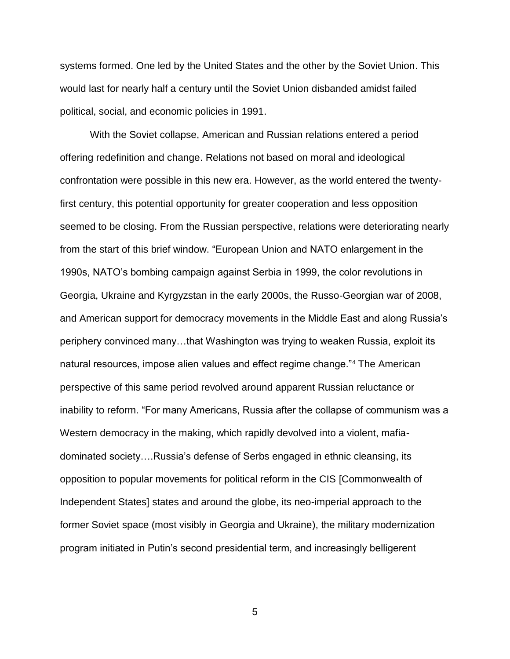systems formed. One led by the United States and the other by the Soviet Union. This would last for nearly half a century until the Soviet Union disbanded amidst failed political, social, and economic policies in 1991.

With the Soviet collapse, American and Russian relations entered a period offering redefinition and change. Relations not based on moral and ideological confrontation were possible in this new era. However, as the world entered the twentyfirst century, this potential opportunity for greater cooperation and less opposition seemed to be closing. From the Russian perspective, relations were deteriorating nearly from the start of this brief window. "European Union and NATO enlargement in the 1990s, NATO's bombing campaign against Serbia in 1999, the color revolutions in Georgia, Ukraine and Kyrgyzstan in the early 2000s, the Russo-Georgian war of 2008, and American support for democracy movements in the Middle East and along Russia's periphery convinced many…that Washington was trying to weaken Russia, exploit its natural resources, impose alien values and effect regime change."<sup>4</sup> The American perspective of this same period revolved around apparent Russian reluctance or inability to reform. "For many Americans, Russia after the collapse of communism was a Western democracy in the making, which rapidly devolved into a violent, mafiadominated society….Russia's defense of Serbs engaged in ethnic cleansing, its opposition to popular movements for political reform in the CIS [Commonwealth of Independent States] states and around the globe, its neo-imperial approach to the former Soviet space (most visibly in Georgia and Ukraine), the military modernization program initiated in Putin's second presidential term, and increasingly belligerent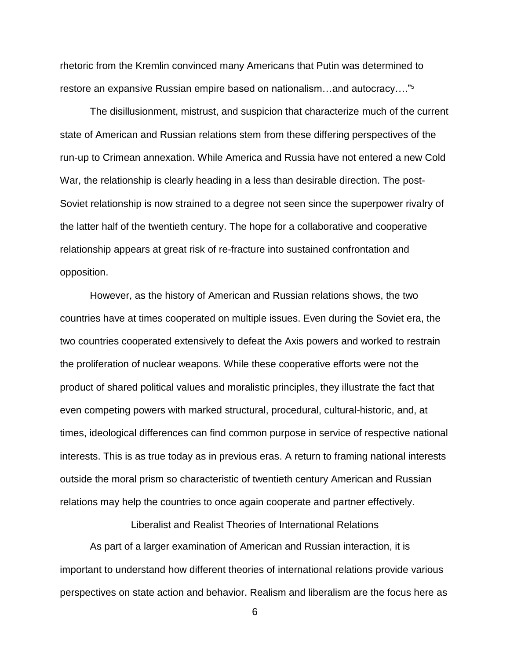rhetoric from the Kremlin convinced many Americans that Putin was determined to restore an expansive Russian empire based on nationalism…and autocracy…."<sup>5</sup>

The disillusionment, mistrust, and suspicion that characterize much of the current state of American and Russian relations stem from these differing perspectives of the run-up to Crimean annexation. While America and Russia have not entered a new Cold War, the relationship is clearly heading in a less than desirable direction. The post-Soviet relationship is now strained to a degree not seen since the superpower rivalry of the latter half of the twentieth century. The hope for a collaborative and cooperative relationship appears at great risk of re-fracture into sustained confrontation and opposition.

However, as the history of American and Russian relations shows, the two countries have at times cooperated on multiple issues. Even during the Soviet era, the two countries cooperated extensively to defeat the Axis powers and worked to restrain the proliferation of nuclear weapons. While these cooperative efforts were not the product of shared political values and moralistic principles, they illustrate the fact that even competing powers with marked structural, procedural, cultural-historic, and, at times, ideological differences can find common purpose in service of respective national interests. This is as true today as in previous eras. A return to framing national interests outside the moral prism so characteristic of twentieth century American and Russian relations may help the countries to once again cooperate and partner effectively.

Liberalist and Realist Theories of International Relations

As part of a larger examination of American and Russian interaction, it is important to understand how different theories of international relations provide various perspectives on state action and behavior. Realism and liberalism are the focus here as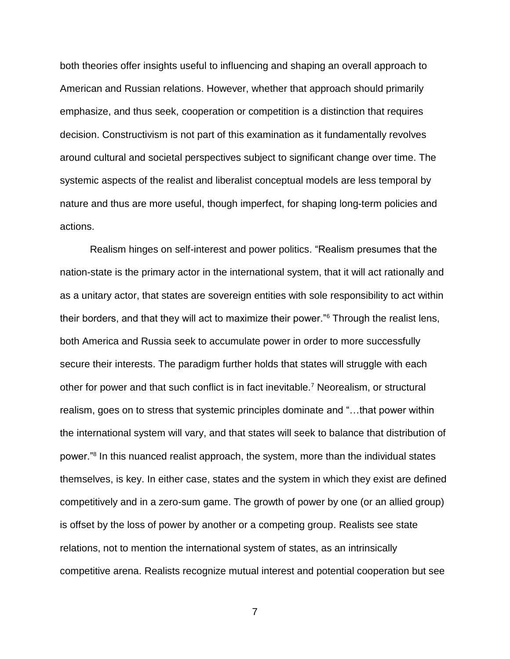both theories offer insights useful to influencing and shaping an overall approach to American and Russian relations. However, whether that approach should primarily emphasize, and thus seek, cooperation or competition is a distinction that requires decision. Constructivism is not part of this examination as it fundamentally revolves around cultural and societal perspectives subject to significant change over time. The systemic aspects of the realist and liberalist conceptual models are less temporal by nature and thus are more useful, though imperfect, for shaping long-term policies and actions.

Realism hinges on self-interest and power politics. "Realism presumes that the nation-state is the primary actor in the international system, that it will act rationally and as a unitary actor, that states are sovereign entities with sole responsibility to act within their borders, and that they will act to maximize their power."<sup>6</sup> Through the realist lens, both America and Russia seek to accumulate power in order to more successfully secure their interests. The paradigm further holds that states will struggle with each other for power and that such conflict is in fact inevitable.<sup>7</sup> Neorealism, or structural realism, goes on to stress that systemic principles dominate and "…that power within the international system will vary, and that states will seek to balance that distribution of power."<sup>8</sup> In this nuanced realist approach, the system, more than the individual states themselves, is key. In either case, states and the system in which they exist are defined competitively and in a zero-sum game. The growth of power by one (or an allied group) is offset by the loss of power by another or a competing group. Realists see state relations, not to mention the international system of states, as an intrinsically competitive arena. Realists recognize mutual interest and potential cooperation but see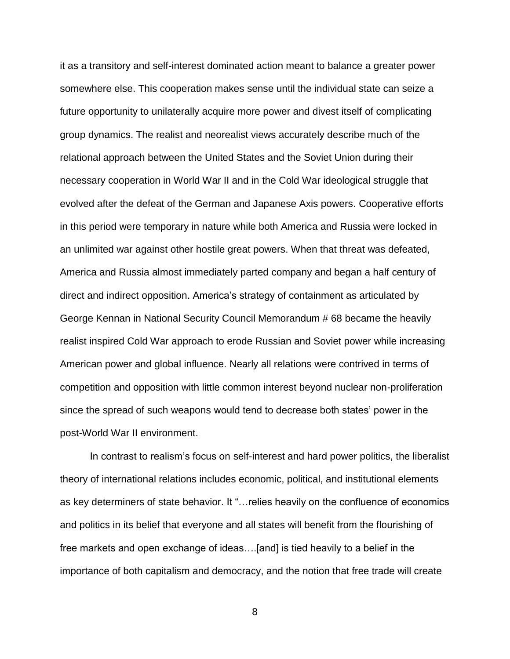it as a transitory and self-interest dominated action meant to balance a greater power somewhere else. This cooperation makes sense until the individual state can seize a future opportunity to unilaterally acquire more power and divest itself of complicating group dynamics. The realist and neorealist views accurately describe much of the relational approach between the United States and the Soviet Union during their necessary cooperation in World War II and in the Cold War ideological struggle that evolved after the defeat of the German and Japanese Axis powers. Cooperative efforts in this period were temporary in nature while both America and Russia were locked in an unlimited war against other hostile great powers. When that threat was defeated, America and Russia almost immediately parted company and began a half century of direct and indirect opposition. America's strategy of containment as articulated by George Kennan in National Security Council Memorandum # 68 became the heavily realist inspired Cold War approach to erode Russian and Soviet power while increasing American power and global influence. Nearly all relations were contrived in terms of competition and opposition with little common interest beyond nuclear non-proliferation since the spread of such weapons would tend to decrease both states' power in the post-World War II environment.

In contrast to realism's focus on self-interest and hard power politics, the liberalist theory of international relations includes economic, political, and institutional elements as key determiners of state behavior. It "…relies heavily on the confluence of economics and politics in its belief that everyone and all states will benefit from the flourishing of free markets and open exchange of ideas….[and] is tied heavily to a belief in the importance of both capitalism and democracy, and the notion that free trade will create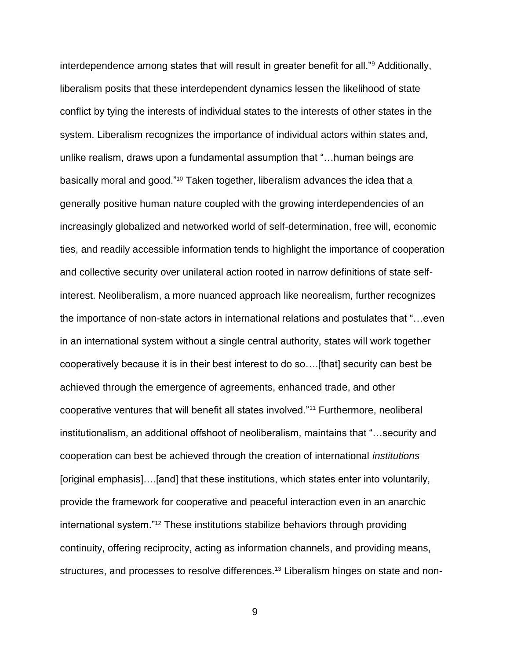interdependence among states that will result in greater benefit for all."<sup>9</sup> Additionally, liberalism posits that these interdependent dynamics lessen the likelihood of state conflict by tying the interests of individual states to the interests of other states in the system. Liberalism recognizes the importance of individual actors within states and, unlike realism, draws upon a fundamental assumption that "…human beings are basically moral and good."<sup>10</sup> Taken together, liberalism advances the idea that a generally positive human nature coupled with the growing interdependencies of an increasingly globalized and networked world of self-determination, free will, economic ties, and readily accessible information tends to highlight the importance of cooperation and collective security over unilateral action rooted in narrow definitions of state selfinterest. Neoliberalism, a more nuanced approach like neorealism, further recognizes the importance of non-state actors in international relations and postulates that "…even in an international system without a single central authority, states will work together cooperatively because it is in their best interest to do so….[that] security can best be achieved through the emergence of agreements, enhanced trade, and other cooperative ventures that will benefit all states involved."<sup>11</sup> Furthermore, neoliberal institutionalism, an additional offshoot of neoliberalism, maintains that "…security and cooperation can best be achieved through the creation of international *institutions* [original emphasis]….[and] that these institutions, which states enter into voluntarily, provide the framework for cooperative and peaceful interaction even in an anarchic international system."<sup>12</sup> These institutions stabilize behaviors through providing continuity, offering reciprocity, acting as information channels, and providing means, structures, and processes to resolve differences.<sup>13</sup> Liberalism hinges on state and non-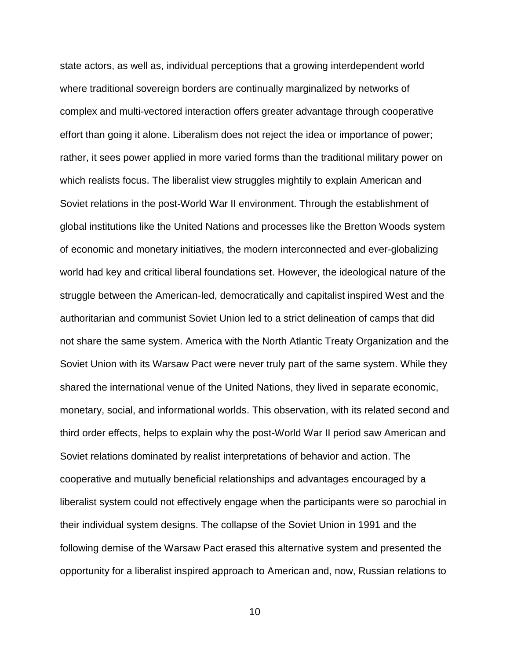state actors, as well as, individual perceptions that a growing interdependent world where traditional sovereign borders are continually marginalized by networks of complex and multi-vectored interaction offers greater advantage through cooperative effort than going it alone. Liberalism does not reject the idea or importance of power; rather, it sees power applied in more varied forms than the traditional military power on which realists focus. The liberalist view struggles mightily to explain American and Soviet relations in the post-World War II environment. Through the establishment of global institutions like the United Nations and processes like the Bretton Woods system of economic and monetary initiatives, the modern interconnected and ever-globalizing world had key and critical liberal foundations set. However, the ideological nature of the struggle between the American-led, democratically and capitalist inspired West and the authoritarian and communist Soviet Union led to a strict delineation of camps that did not share the same system. America with the North Atlantic Treaty Organization and the Soviet Union with its Warsaw Pact were never truly part of the same system. While they shared the international venue of the United Nations, they lived in separate economic, monetary, social, and informational worlds. This observation, with its related second and third order effects, helps to explain why the post-World War II period saw American and Soviet relations dominated by realist interpretations of behavior and action. The cooperative and mutually beneficial relationships and advantages encouraged by a liberalist system could not effectively engage when the participants were so parochial in their individual system designs. The collapse of the Soviet Union in 1991 and the following demise of the Warsaw Pact erased this alternative system and presented the opportunity for a liberalist inspired approach to American and, now, Russian relations to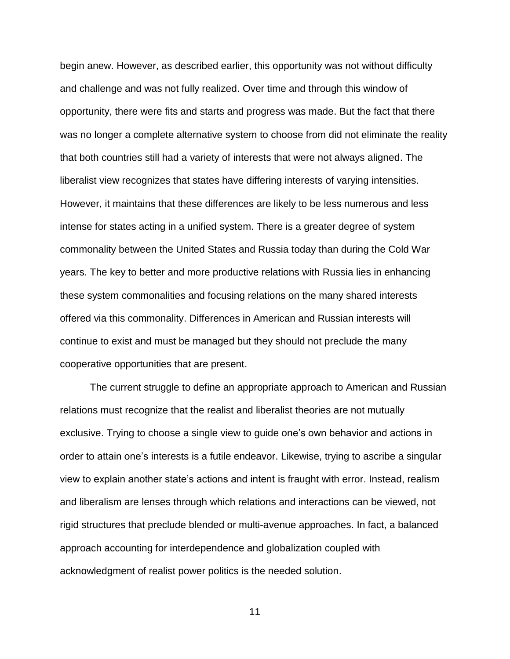begin anew. However, as described earlier, this opportunity was not without difficulty and challenge and was not fully realized. Over time and through this window of opportunity, there were fits and starts and progress was made. But the fact that there was no longer a complete alternative system to choose from did not eliminate the reality that both countries still had a variety of interests that were not always aligned. The liberalist view recognizes that states have differing interests of varying intensities. However, it maintains that these differences are likely to be less numerous and less intense for states acting in a unified system. There is a greater degree of system commonality between the United States and Russia today than during the Cold War years. The key to better and more productive relations with Russia lies in enhancing these system commonalities and focusing relations on the many shared interests offered via this commonality. Differences in American and Russian interests will continue to exist and must be managed but they should not preclude the many cooperative opportunities that are present.

The current struggle to define an appropriate approach to American and Russian relations must recognize that the realist and liberalist theories are not mutually exclusive. Trying to choose a single view to guide one's own behavior and actions in order to attain one's interests is a futile endeavor. Likewise, trying to ascribe a singular view to explain another state's actions and intent is fraught with error. Instead, realism and liberalism are lenses through which relations and interactions can be viewed, not rigid structures that preclude blended or multi-avenue approaches. In fact, a balanced approach accounting for interdependence and globalization coupled with acknowledgment of realist power politics is the needed solution.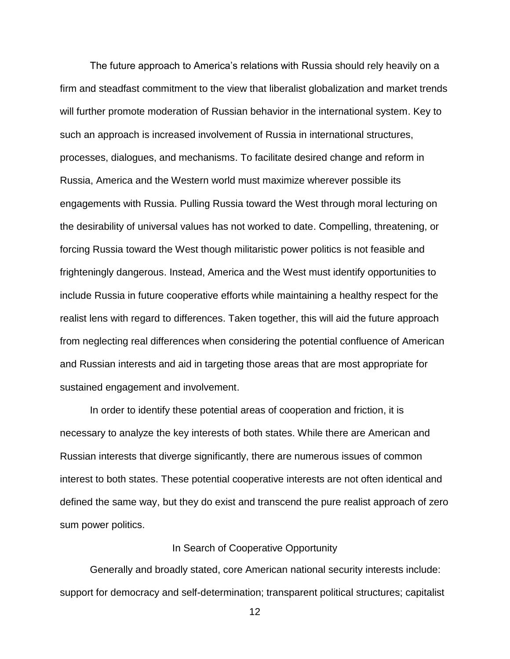The future approach to America's relations with Russia should rely heavily on a firm and steadfast commitment to the view that liberalist globalization and market trends will further promote moderation of Russian behavior in the international system. Key to such an approach is increased involvement of Russia in international structures, processes, dialogues, and mechanisms. To facilitate desired change and reform in Russia, America and the Western world must maximize wherever possible its engagements with Russia. Pulling Russia toward the West through moral lecturing on the desirability of universal values has not worked to date. Compelling, threatening, or forcing Russia toward the West though militaristic power politics is not feasible and frighteningly dangerous. Instead, America and the West must identify opportunities to include Russia in future cooperative efforts while maintaining a healthy respect for the realist lens with regard to differences. Taken together, this will aid the future approach from neglecting real differences when considering the potential confluence of American and Russian interests and aid in targeting those areas that are most appropriate for sustained engagement and involvement.

In order to identify these potential areas of cooperation and friction, it is necessary to analyze the key interests of both states. While there are American and Russian interests that diverge significantly, there are numerous issues of common interest to both states. These potential cooperative interests are not often identical and defined the same way, but they do exist and transcend the pure realist approach of zero sum power politics.

### In Search of Cooperative Opportunity

Generally and broadly stated, core American national security interests include: support for democracy and self-determination; transparent political structures; capitalist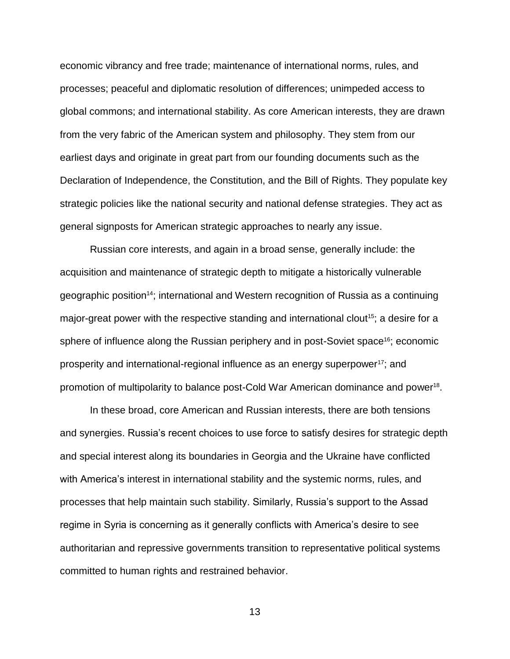economic vibrancy and free trade; maintenance of international norms, rules, and processes; peaceful and diplomatic resolution of differences; unimpeded access to global commons; and international stability. As core American interests, they are drawn from the very fabric of the American system and philosophy. They stem from our earliest days and originate in great part from our founding documents such as the Declaration of Independence, the Constitution, and the Bill of Rights. They populate key strategic policies like the national security and national defense strategies. They act as general signposts for American strategic approaches to nearly any issue.

Russian core interests, and again in a broad sense, generally include: the acquisition and maintenance of strategic depth to mitigate a historically vulnerable geographic position14; international and Western recognition of Russia as a continuing major-great power with the respective standing and international clout<sup>15</sup>; a desire for a sphere of influence along the Russian periphery and in post-Soviet space<sup>16</sup>; economic prosperity and international-regional influence as an energy superpower<sup>17</sup>; and promotion of multipolarity to balance post-Cold War American dominance and power<sup>18</sup>.

In these broad, core American and Russian interests, there are both tensions and synergies. Russia's recent choices to use force to satisfy desires for strategic depth and special interest along its boundaries in Georgia and the Ukraine have conflicted with America's interest in international stability and the systemic norms, rules, and processes that help maintain such stability. Similarly, Russia's support to the Assad regime in Syria is concerning as it generally conflicts with America's desire to see authoritarian and repressive governments transition to representative political systems committed to human rights and restrained behavior.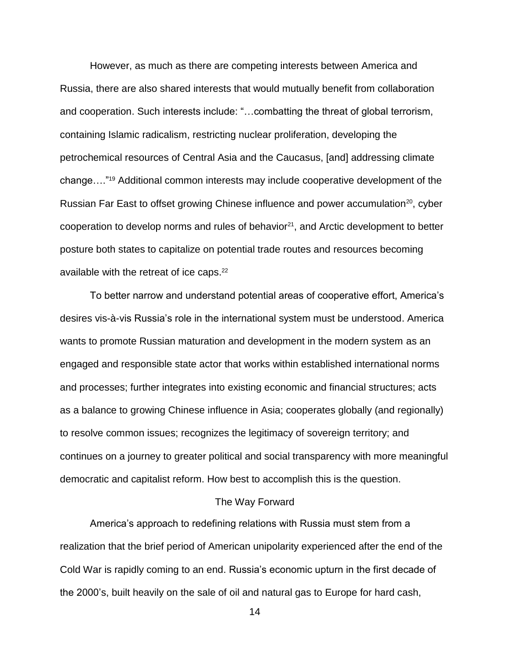However, as much as there are competing interests between America and Russia, there are also shared interests that would mutually benefit from collaboration and cooperation. Such interests include: "…combatting the threat of global terrorism, containing Islamic radicalism, restricting nuclear proliferation, developing the petrochemical resources of Central Asia and the Caucasus, [and] addressing climate change…."<sup>19</sup> Additional common interests may include cooperative development of the Russian Far East to offset growing Chinese influence and power accumulation<sup>20</sup>, cyber cooperation to develop norms and rules of behavior $21$ , and Arctic development to better posture both states to capitalize on potential trade routes and resources becoming available with the retreat of ice caps. $22$ 

To better narrow and understand potential areas of cooperative effort, America's desires vis-à-vis Russia's role in the international system must be understood. America wants to promote Russian maturation and development in the modern system as an engaged and responsible state actor that works within established international norms and processes; further integrates into existing economic and financial structures; acts as a balance to growing Chinese influence in Asia; cooperates globally (and regionally) to resolve common issues; recognizes the legitimacy of sovereign territory; and continues on a journey to greater political and social transparency with more meaningful democratic and capitalist reform. How best to accomplish this is the question.

### The Way Forward

America's approach to redefining relations with Russia must stem from a realization that the brief period of American unipolarity experienced after the end of the Cold War is rapidly coming to an end. Russia's economic upturn in the first decade of the 2000's, built heavily on the sale of oil and natural gas to Europe for hard cash,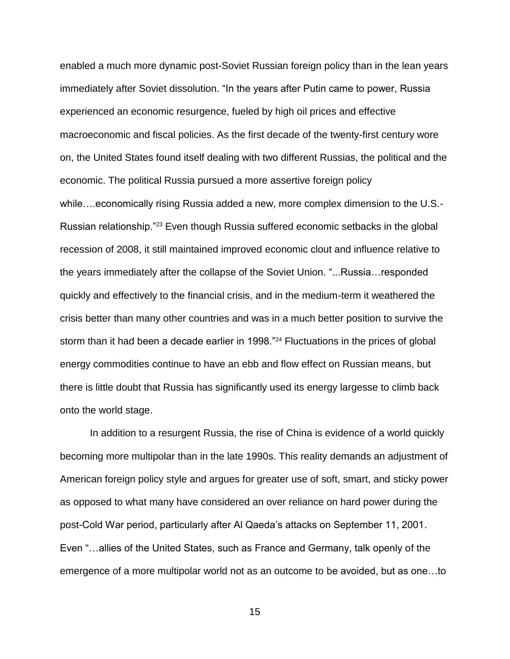enabled a much more dynamic post-Soviet Russian foreign policy than in the lean years immediately after Soviet dissolution. "In the years after Putin came to power, Russia experienced an economic resurgence, fueled by high oil prices and effective macroeconomic and fiscal policies. As the first decade of the twenty-first century wore on, the United States found itself dealing with two different Russias, the political and the economic. The political Russia pursued a more assertive foreign policy while….economically rising Russia added a new, more complex dimension to the U.S.- Russian relationship."<sup>23</sup> Even though Russia suffered economic setbacks in the global recession of 2008, it still maintained improved economic clout and influence relative to the years immediately after the collapse of the Soviet Union. "...Russia…responded quickly and effectively to the financial crisis, and in the medium-term it weathered the crisis better than many other countries and was in a much better position to survive the storm than it had been a decade earlier in 1998."<sup>24</sup> Fluctuations in the prices of global energy commodities continue to have an ebb and flow effect on Russian means, but there is little doubt that Russia has significantly used its energy largesse to climb back onto the world stage.

In addition to a resurgent Russia, the rise of China is evidence of a world quickly becoming more multipolar than in the late 1990s. This reality demands an adjustment of American foreign policy style and argues for greater use of soft, smart, and sticky power as opposed to what many have considered an over reliance on hard power during the post-Cold War period, particularly after Al Qaeda's attacks on September 11, 2001. Even "…allies of the United States, such as France and Germany, talk openly of the emergence of a more multipolar world not as an outcome to be avoided, but as one…to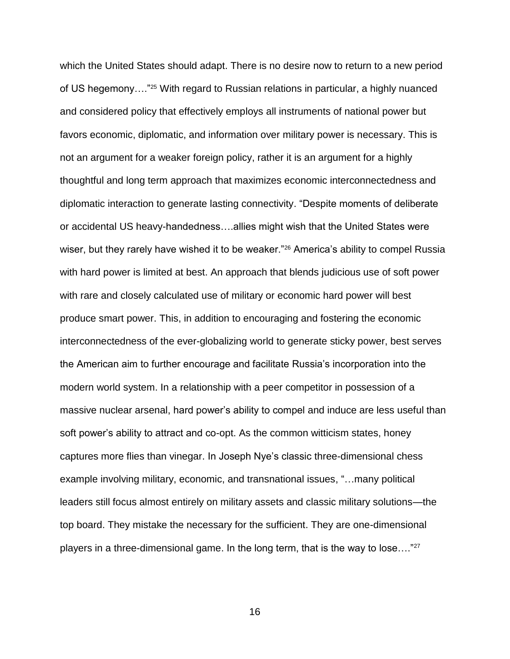which the United States should adapt. There is no desire now to return to a new period of US hegemony…."<sup>25</sup> With regard to Russian relations in particular, a highly nuanced and considered policy that effectively employs all instruments of national power but favors economic, diplomatic, and information over military power is necessary. This is not an argument for a weaker foreign policy, rather it is an argument for a highly thoughtful and long term approach that maximizes economic interconnectedness and diplomatic interaction to generate lasting connectivity. "Despite moments of deliberate or accidental US heavy-handedness….allies might wish that the United States were wiser, but they rarely have wished it to be weaker."<sup>26</sup> America's ability to compel Russia with hard power is limited at best. An approach that blends judicious use of soft power with rare and closely calculated use of military or economic hard power will best produce smart power. This, in addition to encouraging and fostering the economic interconnectedness of the ever-globalizing world to generate sticky power, best serves the American aim to further encourage and facilitate Russia's incorporation into the modern world system. In a relationship with a peer competitor in possession of a massive nuclear arsenal, hard power's ability to compel and induce are less useful than soft power's ability to attract and co-opt. As the common witticism states, honey captures more flies than vinegar. In Joseph Nye's classic three-dimensional chess example involving military, economic, and transnational issues, "…many political leaders still focus almost entirely on military assets and classic military solutions—the top board. They mistake the necessary for the sufficient. They are one-dimensional players in a three-dimensional game. In the long term, that is the way to lose…."27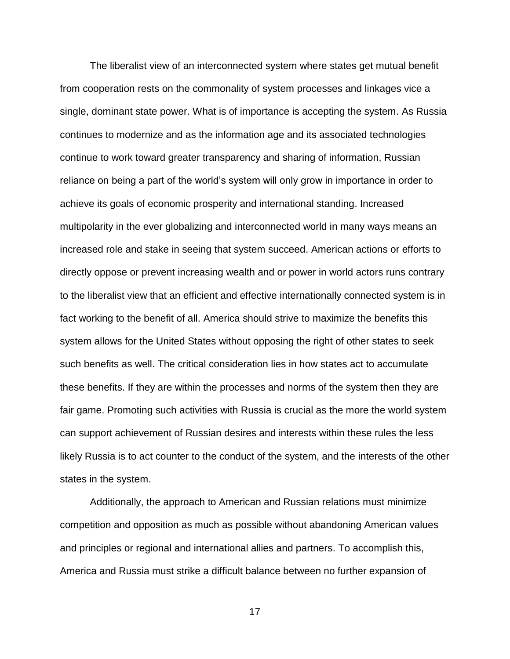The liberalist view of an interconnected system where states get mutual benefit from cooperation rests on the commonality of system processes and linkages vice a single, dominant state power. What is of importance is accepting the system. As Russia continues to modernize and as the information age and its associated technologies continue to work toward greater transparency and sharing of information, Russian reliance on being a part of the world's system will only grow in importance in order to achieve its goals of economic prosperity and international standing. Increased multipolarity in the ever globalizing and interconnected world in many ways means an increased role and stake in seeing that system succeed. American actions or efforts to directly oppose or prevent increasing wealth and or power in world actors runs contrary to the liberalist view that an efficient and effective internationally connected system is in fact working to the benefit of all. America should strive to maximize the benefits this system allows for the United States without opposing the right of other states to seek such benefits as well. The critical consideration lies in how states act to accumulate these benefits. If they are within the processes and norms of the system then they are fair game. Promoting such activities with Russia is crucial as the more the world system can support achievement of Russian desires and interests within these rules the less likely Russia is to act counter to the conduct of the system, and the interests of the other states in the system.

Additionally, the approach to American and Russian relations must minimize competition and opposition as much as possible without abandoning American values and principles or regional and international allies and partners. To accomplish this, America and Russia must strike a difficult balance between no further expansion of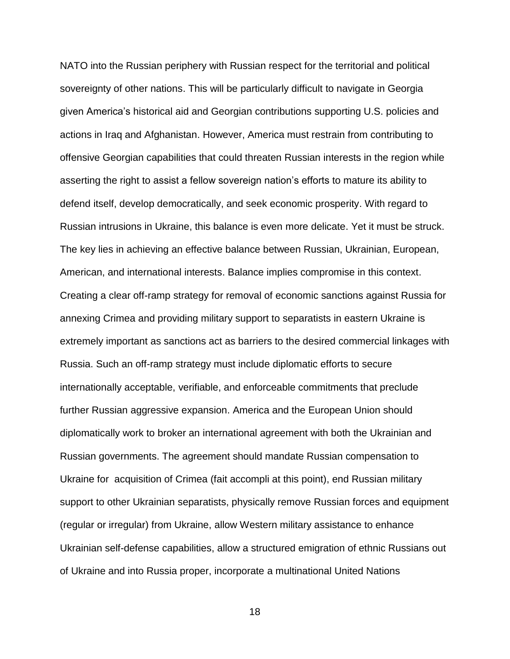NATO into the Russian periphery with Russian respect for the territorial and political sovereignty of other nations. This will be particularly difficult to navigate in Georgia given America's historical aid and Georgian contributions supporting U.S. policies and actions in Iraq and Afghanistan. However, America must restrain from contributing to offensive Georgian capabilities that could threaten Russian interests in the region while asserting the right to assist a fellow sovereign nation's efforts to mature its ability to defend itself, develop democratically, and seek economic prosperity. With regard to Russian intrusions in Ukraine, this balance is even more delicate. Yet it must be struck. The key lies in achieving an effective balance between Russian, Ukrainian, European, American, and international interests. Balance implies compromise in this context. Creating a clear off-ramp strategy for removal of economic sanctions against Russia for annexing Crimea and providing military support to separatists in eastern Ukraine is extremely important as sanctions act as barriers to the desired commercial linkages with Russia. Such an off-ramp strategy must include diplomatic efforts to secure internationally acceptable, verifiable, and enforceable commitments that preclude further Russian aggressive expansion. America and the European Union should diplomatically work to broker an international agreement with both the Ukrainian and Russian governments. The agreement should mandate Russian compensation to Ukraine for acquisition of Crimea (fait accompli at this point), end Russian military support to other Ukrainian separatists, physically remove Russian forces and equipment (regular or irregular) from Ukraine, allow Western military assistance to enhance Ukrainian self-defense capabilities, allow a structured emigration of ethnic Russians out of Ukraine and into Russia proper, incorporate a multinational United Nations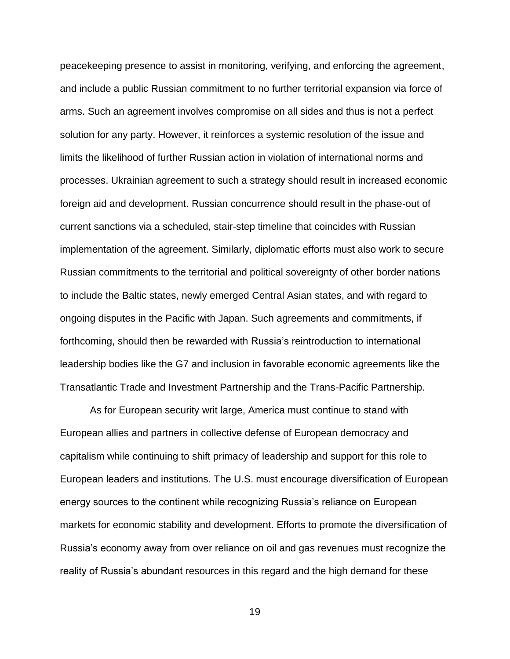peacekeeping presence to assist in monitoring, verifying, and enforcing the agreement, and include a public Russian commitment to no further territorial expansion via force of arms. Such an agreement involves compromise on all sides and thus is not a perfect solution for any party. However, it reinforces a systemic resolution of the issue and limits the likelihood of further Russian action in violation of international norms and processes. Ukrainian agreement to such a strategy should result in increased economic foreign aid and development. Russian concurrence should result in the phase-out of current sanctions via a scheduled, stair-step timeline that coincides with Russian implementation of the agreement. Similarly, diplomatic efforts must also work to secure Russian commitments to the territorial and political sovereignty of other border nations to include the Baltic states, newly emerged Central Asian states, and with regard to ongoing disputes in the Pacific with Japan. Such agreements and commitments, if forthcoming, should then be rewarded with Russia's reintroduction to international leadership bodies like the G7 and inclusion in favorable economic agreements like the Transatlantic Trade and Investment Partnership and the Trans-Pacific Partnership.

As for European security writ large, America must continue to stand with European allies and partners in collective defense of European democracy and capitalism while continuing to shift primacy of leadership and support for this role to European leaders and institutions. The U.S. must encourage diversification of European energy sources to the continent while recognizing Russia's reliance on European markets for economic stability and development. Efforts to promote the diversification of Russia's economy away from over reliance on oil and gas revenues must recognize the reality of Russia's abundant resources in this regard and the high demand for these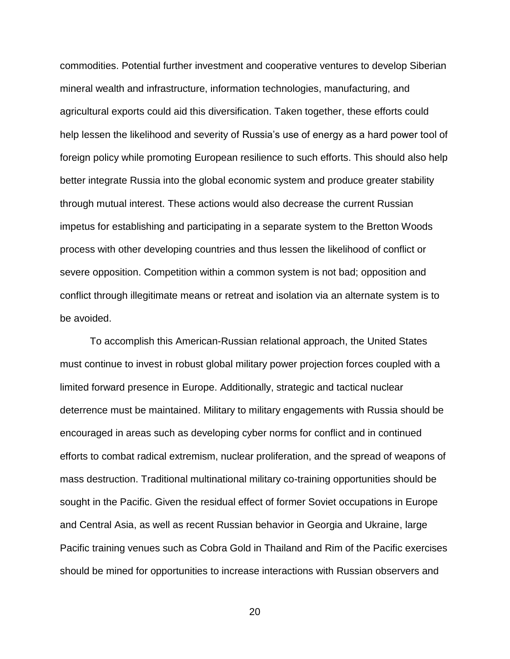commodities. Potential further investment and cooperative ventures to develop Siberian mineral wealth and infrastructure, information technologies, manufacturing, and agricultural exports could aid this diversification. Taken together, these efforts could help lessen the likelihood and severity of Russia's use of energy as a hard power tool of foreign policy while promoting European resilience to such efforts. This should also help better integrate Russia into the global economic system and produce greater stability through mutual interest. These actions would also decrease the current Russian impetus for establishing and participating in a separate system to the Bretton Woods process with other developing countries and thus lessen the likelihood of conflict or severe opposition. Competition within a common system is not bad; opposition and conflict through illegitimate means or retreat and isolation via an alternate system is to be avoided.

To accomplish this American-Russian relational approach, the United States must continue to invest in robust global military power projection forces coupled with a limited forward presence in Europe. Additionally, strategic and tactical nuclear deterrence must be maintained. Military to military engagements with Russia should be encouraged in areas such as developing cyber norms for conflict and in continued efforts to combat radical extremism, nuclear proliferation, and the spread of weapons of mass destruction. Traditional multinational military co-training opportunities should be sought in the Pacific. Given the residual effect of former Soviet occupations in Europe and Central Asia, as well as recent Russian behavior in Georgia and Ukraine, large Pacific training venues such as Cobra Gold in Thailand and Rim of the Pacific exercises should be mined for opportunities to increase interactions with Russian observers and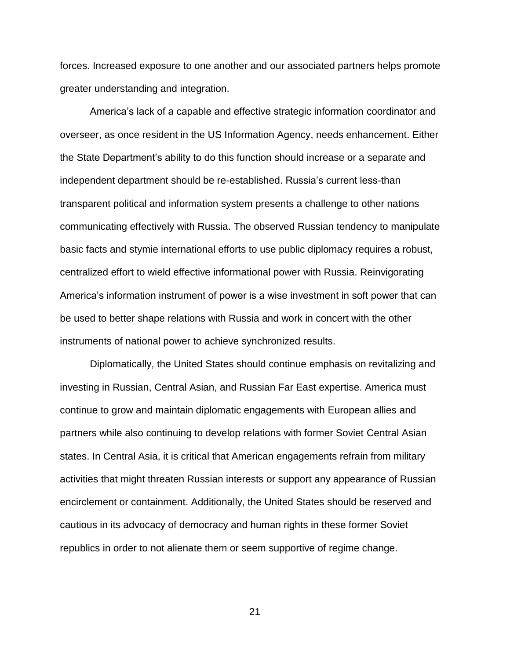forces. Increased exposure to one another and our associated partners helps promote greater understanding and integration.

America's lack of a capable and effective strategic information coordinator and overseer, as once resident in the US Information Agency, needs enhancement. Either the State Department's ability to do this function should increase or a separate and independent department should be re-established. Russia's current less-than transparent political and information system presents a challenge to other nations communicating effectively with Russia. The observed Russian tendency to manipulate basic facts and stymie international efforts to use public diplomacy requires a robust, centralized effort to wield effective informational power with Russia. Reinvigorating America's information instrument of power is a wise investment in soft power that can be used to better shape relations with Russia and work in concert with the other instruments of national power to achieve synchronized results.

Diplomatically, the United States should continue emphasis on revitalizing and investing in Russian, Central Asian, and Russian Far East expertise. America must continue to grow and maintain diplomatic engagements with European allies and partners while also continuing to develop relations with former Soviet Central Asian states. In Central Asia, it is critical that American engagements refrain from military activities that might threaten Russian interests or support any appearance of Russian encirclement or containment. Additionally, the United States should be reserved and cautious in its advocacy of democracy and human rights in these former Soviet republics in order to not alienate them or seem supportive of regime change.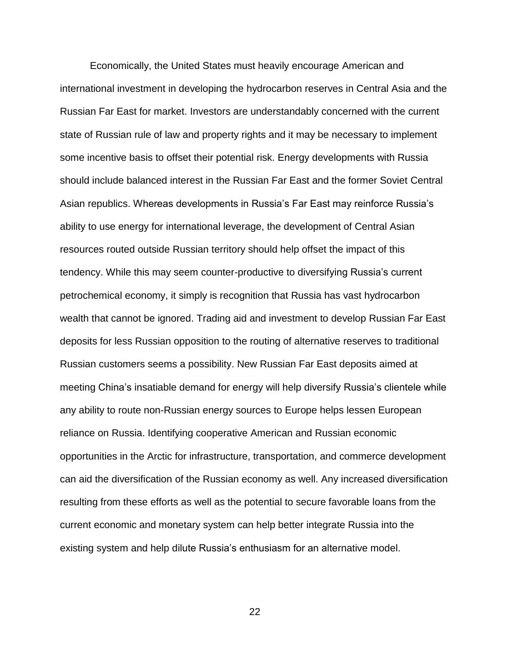Economically, the United States must heavily encourage American and international investment in developing the hydrocarbon reserves in Central Asia and the Russian Far East for market. Investors are understandably concerned with the current state of Russian rule of law and property rights and it may be necessary to implement some incentive basis to offset their potential risk. Energy developments with Russia should include balanced interest in the Russian Far East and the former Soviet Central Asian republics. Whereas developments in Russia's Far East may reinforce Russia's ability to use energy for international leverage, the development of Central Asian resources routed outside Russian territory should help offset the impact of this tendency. While this may seem counter-productive to diversifying Russia's current petrochemical economy, it simply is recognition that Russia has vast hydrocarbon wealth that cannot be ignored. Trading aid and investment to develop Russian Far East deposits for less Russian opposition to the routing of alternative reserves to traditional Russian customers seems a possibility. New Russian Far East deposits aimed at meeting China's insatiable demand for energy will help diversify Russia's clientele while any ability to route non-Russian energy sources to Europe helps lessen European reliance on Russia. Identifying cooperative American and Russian economic opportunities in the Arctic for infrastructure, transportation, and commerce development can aid the diversification of the Russian economy as well. Any increased diversification resulting from these efforts as well as the potential to secure favorable loans from the current economic and monetary system can help better integrate Russia into the existing system and help dilute Russia's enthusiasm for an alternative model.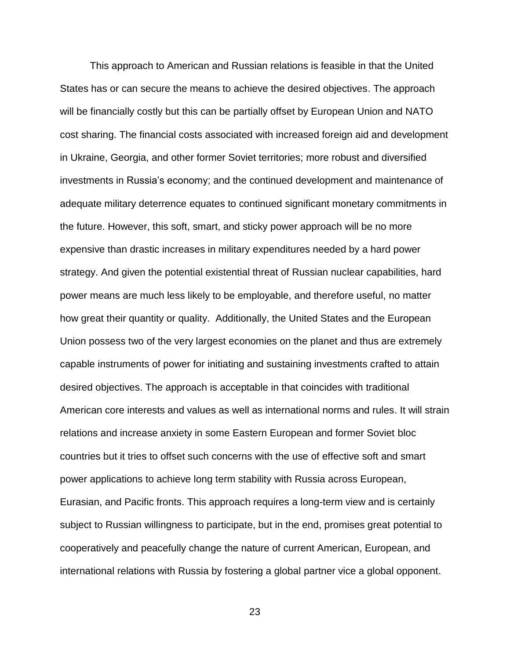This approach to American and Russian relations is feasible in that the United States has or can secure the means to achieve the desired objectives. The approach will be financially costly but this can be partially offset by European Union and NATO cost sharing. The financial costs associated with increased foreign aid and development in Ukraine, Georgia, and other former Soviet territories; more robust and diversified investments in Russia's economy; and the continued development and maintenance of adequate military deterrence equates to continued significant monetary commitments in the future. However, this soft, smart, and sticky power approach will be no more expensive than drastic increases in military expenditures needed by a hard power strategy. And given the potential existential threat of Russian nuclear capabilities, hard power means are much less likely to be employable, and therefore useful, no matter how great their quantity or quality. Additionally, the United States and the European Union possess two of the very largest economies on the planet and thus are extremely capable instruments of power for initiating and sustaining investments crafted to attain desired objectives. The approach is acceptable in that coincides with traditional American core interests and values as well as international norms and rules. It will strain relations and increase anxiety in some Eastern European and former Soviet bloc countries but it tries to offset such concerns with the use of effective soft and smart power applications to achieve long term stability with Russia across European, Eurasian, and Pacific fronts. This approach requires a long-term view and is certainly subject to Russian willingness to participate, but in the end, promises great potential to cooperatively and peacefully change the nature of current American, European, and international relations with Russia by fostering a global partner vice a global opponent.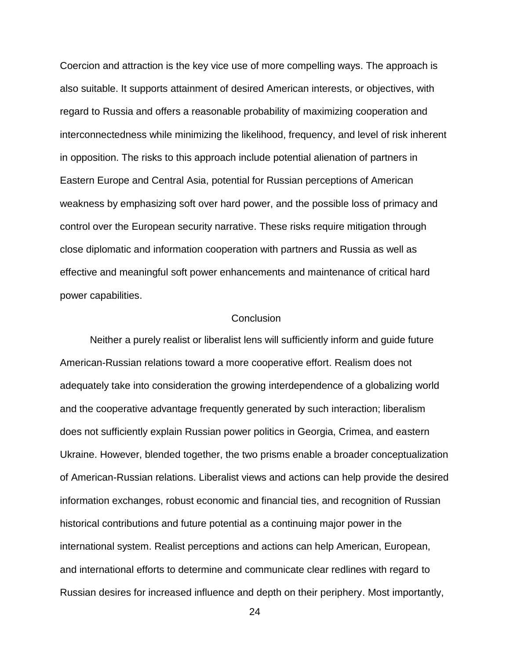Coercion and attraction is the key vice use of more compelling ways. The approach is also suitable. It supports attainment of desired American interests, or objectives, with regard to Russia and offers a reasonable probability of maximizing cooperation and interconnectedness while minimizing the likelihood, frequency, and level of risk inherent in opposition. The risks to this approach include potential alienation of partners in Eastern Europe and Central Asia, potential for Russian perceptions of American weakness by emphasizing soft over hard power, and the possible loss of primacy and control over the European security narrative. These risks require mitigation through close diplomatic and information cooperation with partners and Russia as well as effective and meaningful soft power enhancements and maintenance of critical hard power capabilities.

### **Conclusion**

Neither a purely realist or liberalist lens will sufficiently inform and guide future American-Russian relations toward a more cooperative effort. Realism does not adequately take into consideration the growing interdependence of a globalizing world and the cooperative advantage frequently generated by such interaction; liberalism does not sufficiently explain Russian power politics in Georgia, Crimea, and eastern Ukraine. However, blended together, the two prisms enable a broader conceptualization of American-Russian relations. Liberalist views and actions can help provide the desired information exchanges, robust economic and financial ties, and recognition of Russian historical contributions and future potential as a continuing major power in the international system. Realist perceptions and actions can help American, European, and international efforts to determine and communicate clear redlines with regard to Russian desires for increased influence and depth on their periphery. Most importantly,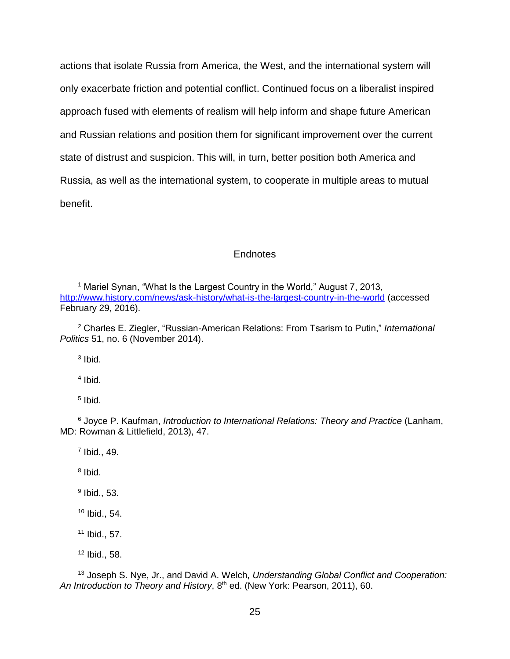actions that isolate Russia from America, the West, and the international system will only exacerbate friction and potential conflict. Continued focus on a liberalist inspired approach fused with elements of realism will help inform and shape future American and Russian relations and position them for significant improvement over the current state of distrust and suspicion. This will, in turn, better position both America and Russia, as well as the international system, to cooperate in multiple areas to mutual benefit.

### **Endnotes**

<sup>1</sup> Mariel Synan, "What Is the Largest Country in the World," August 7, 2013, <http://www.history.com/news/ask-history/what-is-the-largest-country-in-the-world> (accessed February 29, 2016).

<sup>2</sup> Charles E. Ziegler, "Russian-American Relations: From Tsarism to Putin," *International Politics* 51, no. 6 (November 2014).

3 Ibid.

4 Ibid.

5 Ibid.

<sup>6</sup> Joyce P. Kaufman, *Introduction to International Relations: Theory and Practice* (Lanham, MD: Rowman & Littlefield, 2013), 47.

7 Ibid., 49.

<sup>8</sup> Ibid.

<sup>9</sup> Ibid., 53.

<sup>10</sup> Ibid., 54.

<sup>11</sup> Ibid., 57.

 $12$  Ibid., 58.

<sup>13</sup> Joseph S. Nye, Jr., and David A. Welch, *Understanding Global Conflict and Cooperation: An Introduction to Theory and History*, 8th ed. (New York: Pearson, 2011), 60.